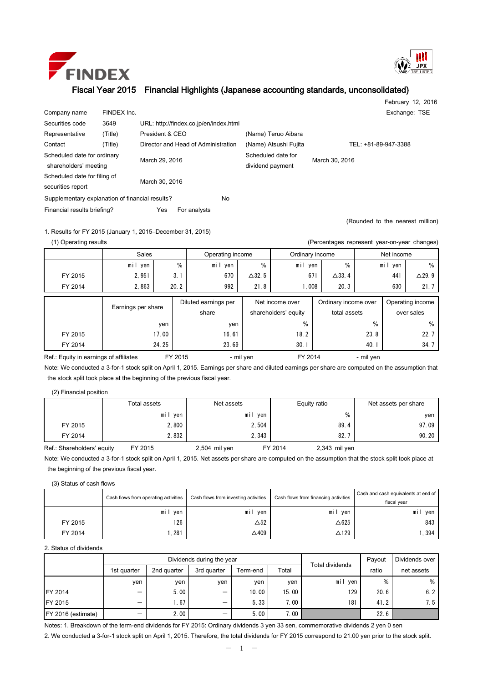



February 12, 2016

## Fiscal Year 2015 Financial Highlights (Japanese accounting standards, unconsolidated)

| Company name                                         | FINDEX Inc. |                |                                     |                                        |                       | Exchange: TSE                    |
|------------------------------------------------------|-------------|----------------|-------------------------------------|----------------------------------------|-----------------------|----------------------------------|
| Securities code                                      | 3649        |                |                                     | URL: http://findex.co.jp/en/index.html |                       |                                  |
| Representative                                       | (Title)     |                | President & CEO                     |                                        | (Name) Teruo Aibara   |                                  |
| Contact                                              | (Title)     |                | Director and Head of Administration |                                        | (Name) Atsushi Fujita | TEL: +81-89-947-3388             |
| Scheduled date for ordinary<br>shareholders' meeting |             | March 29, 2016 |                                     | Scheduled date for<br>dividend payment | March 30, 2016        |                                  |
| Scheduled date for filing of<br>securities report    |             | March 30, 2016 |                                     |                                        |                       |                                  |
| Supplementary explanation of financial results?      |             |                |                                     | No                                     |                       |                                  |
| Financial results briefing?                          |             | Yes            | For analysts                        |                                        |                       |                                  |
|                                                      |             |                |                                     |                                        |                       | (Rounded to the nearest million) |

1. Results for FY 2015 (January 1, 2015–December 31, 2015)

(1) Operating results (Percentages represent year-on-year changes)

|                                        | Sales              |         |           | Operating income              | Ordinary income |                                         |       | Net income                           |      |         |                                |
|----------------------------------------|--------------------|---------|-----------|-------------------------------|-----------------|-----------------------------------------|-------|--------------------------------------|------|---------|--------------------------------|
|                                        | mil yen            |         | %         | mil yen                       | %               | mil yen                                 |       | %                                    |      | mil yen | %                              |
| FY 2015                                | 2.951              |         | 3.1       | 670                           | $\Delta$ 32.5   |                                         | 671   | $\Delta$ 33.4                        |      | 441     | $\Delta$ 29.9                  |
| FY 2014                                | 2.863              |         | 20.2      | 992                           | 21.8            |                                         | 1.008 | 20.3                                 |      | 630     | 21.7                           |
|                                        | Earnings per share |         |           | Diluted earnings per<br>share |                 | Net income over<br>shareholders' equity |       | Ordinary income over<br>total assets |      |         | Operating income<br>over sales |
|                                        |                    | yen     |           | yen                           |                 | %                                       |       |                                      | $\%$ |         | %                              |
| FY 2015                                |                    | 17.00   |           | 16.61                         |                 | 18.2                                    |       | 23.8                                 |      |         | 22.7                           |
| FY 2014                                |                    | 24.25   |           | 23.69                         |                 | 30.1                                    |       | 40.1                                 |      |         | 34.7                           |
| Ref.: Equity in earnings of affiliates |                    | FY 2015 | - mil yen |                               | FY 2014         |                                         |       | - mil yen                            |      |         |                                |

Note: We conducted a 3-for-1 stock split on April 1, 2015. Earnings per share and diluted earnings per share are computed on the assumption that the stock split took place at the beginning of the previous fiscal year.

(2) Financial position

|         | Total assets | Net assets | Equity ratio | Net assets per share |  |
|---------|--------------|------------|--------------|----------------------|--|
|         | yen<br>mıl   | mi<br>yen  | %            | ven                  |  |
| FY 2015 | 2,800        | 2,504      | 89.4         | 97.09                |  |
| FY 2014 | 2,832        | 2,343      | 82.          | 90.20                |  |

Ref.: Shareholders' equity FY 2015 2,504 mil yen FY 2014 2,343 mil yen

Note: We conducted a 3-for-1 stock split on April 1, 2015. Net assets per share are computed on the assumption that the stock split took place at the beginning of the previous fiscal year.

(3) Status of cash flows

|         | Cash flows from operating activities | Cash flows from investing activities | Cash flows from financing activities | Cash and cash equivalents at end of<br>fiscal vear |
|---------|--------------------------------------|--------------------------------------|--------------------------------------|----------------------------------------------------|
|         | mi<br>ven                            | mil<br>ven                           | mi<br>ven                            | ven<br>mil                                         |
| FY 2015 | 126                                  | $\Delta 52$                          | $\triangle 625$                      | 843                                                |
| FY 2014 | . 281                                | $\triangle 409$                      | $\triangle$ 129                      | . 394                                              |

2. Status of dividends

|                    |                          |             | Dividends during the year | <b>Total dividends</b> | Payout | Dividends over |       |            |
|--------------------|--------------------------|-------------|---------------------------|------------------------|--------|----------------|-------|------------|
|                    | 1st quarter              | 2nd quarter | 3rd quarter               | Term-end               | Total  |                | ratio | net assets |
|                    | ven                      | ven         | ven                       | ven                    | yen    | mil yen        | $\%$  | %          |
| <b>IFY 2014</b>    | —                        | 5.00        | —                         | 10.00                  | 15.00  | 129            | 20.6  | 6.2        |
| <b>IFY 2015</b>    | -                        | .67         | $\overline{\phantom{0}}$  | 5.33                   | 7.00   | 181            | 41.2  | 7.5        |
| FY 2016 (estimate) | $\overline{\phantom{0}}$ | 2.00        | —                         | 5.00                   | 7.00   |                | 22.6  |            |

Notes: 1. Breakdown of the term-end dividends for FY 2015: Ordinary dividends 3 yen 33 sen, commemorative dividends 2 yen 0 sen

2. We conducted a 3-for-1 stock split on April 1, 2015. Therefore, the total dividends for FY 2015 correspond to 21.00 yen prior to the stock split.